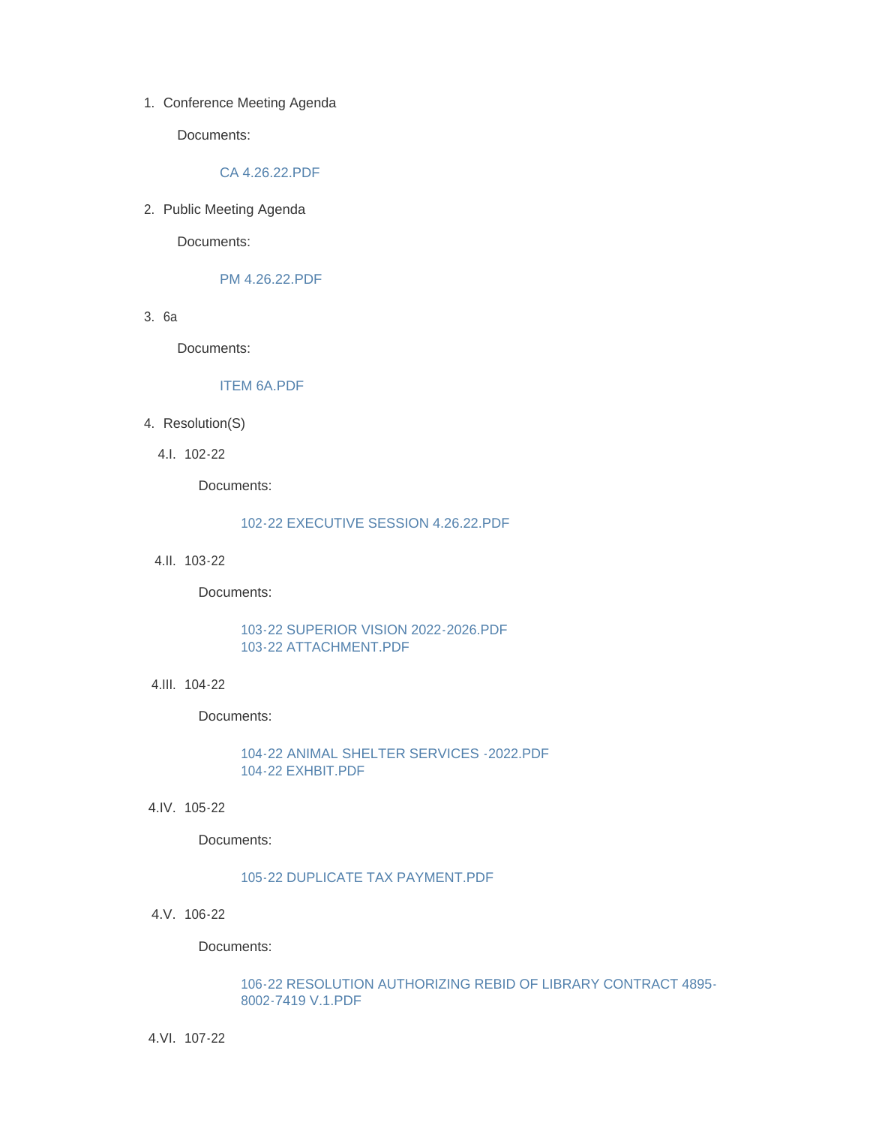1. Conference Meeting Agenda

Documents:

### [CA 4.26.22.PDF](http://www.westorange.org/AgendaCenter/ViewFile/Item/4654?fileID=14521)

2. Public Meeting Agenda

Documents:

## [PM 4.26.22.PDF](http://www.westorange.org/AgendaCenter/ViewFile/Item/4655?fileID=14577)

3. 6a

Documents:

# [ITEM 6A.PDF](http://www.westorange.org/AgendaCenter/ViewFile/Item/4693?fileID=14573)

- 4. Resolution(S)
	- 102-22 4.I.

Documents:

### [102-22 EXECUTIVE SESSION 4.26.22.PDF](http://www.westorange.org/AgendaCenter/ViewFile/Item/4659?fileID=14522)

103-22 4.II.

Documents:

## [103-22 SUPERIOR VISION 2022-2026.PDF](http://www.westorange.org/AgendaCenter/ViewFile/Item/4660?fileID=14523) [103-22 ATTACHMENT.PDF](http://www.westorange.org/AgendaCenter/ViewFile/Item/4660?fileID=14557)

104-22 4.III.

Documents:

[104-22 ANIMAL SHELTER SERVICES -2022.PDF](http://www.westorange.org/AgendaCenter/ViewFile/Item/4661?fileID=14524) [104-22 EXHBIT.PDF](http://www.westorange.org/AgendaCenter/ViewFile/Item/4661?fileID=14558)

4.IV. 105-22

Documents:

# [105-22 DUPLICATE TAX PAYMENT.PDF](http://www.westorange.org/AgendaCenter/ViewFile/Item/4662?fileID=14525)

106-22 4.V.

Documents:

### [106-22 RESOLUTION AUTHORIZING REBID OF LIBRARY CONTRACT 4895-](http://www.westorange.org/AgendaCenter/ViewFile/Item/4663?fileID=14526) 8002-7419 V.1.PDF

107-22 4.VI.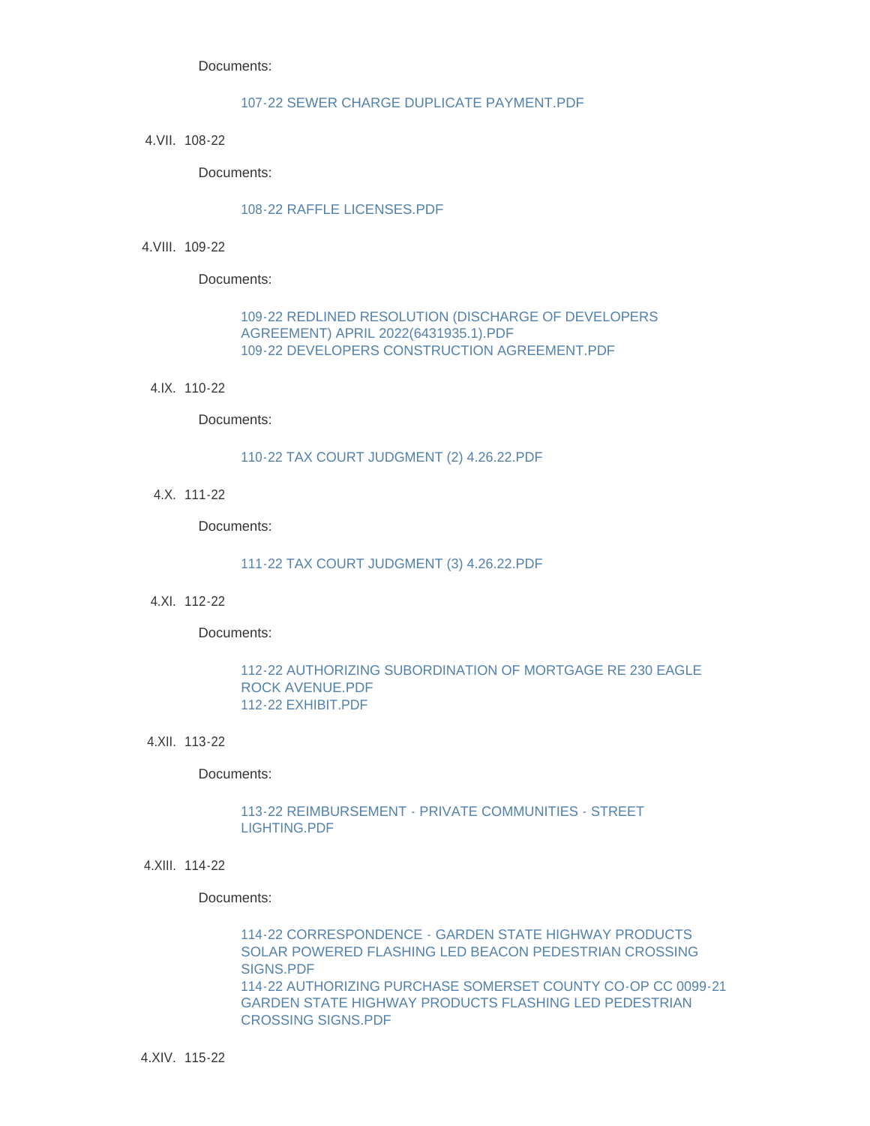Documents:

### [107-22 SEWER CHARGE DUPLICATE PAYMENT.PDF](http://www.westorange.org/AgendaCenter/ViewFile/Item/4664?fileID=14527)

4.VII. 108-22

Documents:

### [108-22 RAFFLE LICENSES.PDF](http://www.westorange.org/AgendaCenter/ViewFile/Item/4665?fileID=14528)

4.VIII. 109-22

Documents:

## [109-22 REDLINED RESOLUTION \(DISCHARGE OF DEVELOPERS](http://www.westorange.org/AgendaCenter/ViewFile/Item/4666?fileID=14575)  AGREEMENT) APRIL 2022(6431935.1).PDF [109-22 DEVELOPERS CONSTRUCTION AGREEMENT.PDF](http://www.westorange.org/AgendaCenter/ViewFile/Item/4666?fileID=14530)

110-22 4.IX.

Documents:

### [110-22 TAX COURT JUDGMENT \(2\) 4.26.22.PDF](http://www.westorange.org/AgendaCenter/ViewFile/Item/4667?fileID=14531)

111-22 4.X.

Documents:

### [111-22 TAX COURT JUDGMENT \(3\) 4.26.22.PDF](http://www.westorange.org/AgendaCenter/ViewFile/Item/4668?fileID=14532)

4.XI. 112-22

Documents:

### [112-22 AUTHORIZING SUBORDINATION OF MORTGAGE RE 230 EAGLE](http://www.westorange.org/AgendaCenter/ViewFile/Item/4669?fileID=14534)  ROCK AVENUE.PDF [112-22 EXHIBIT.PDF](http://www.westorange.org/AgendaCenter/ViewFile/Item/4669?fileID=14533)

4.XII. 113-22

### Documents:

### [113-22 REIMBURSEMENT - PRIVATE COMMUNITIES - STREET](http://www.westorange.org/AgendaCenter/ViewFile/Item/4670?fileID=14535)  LIGHTING.PDF

4.XIII. 114-22

#### Documents:

114-22 CORRESPONDENCE - GARDEN STATE HIGHWAY PRODUCTS [SOLAR POWERED FLASHING LED BEACON PEDESTRIAN CROSSING](http://www.westorange.org/AgendaCenter/ViewFile/Item/4671?fileID=14559)  SIGNS.PDF [114-22 AUTHORIZING PURCHASE SOMERSET COUNTY CO-OP CC 0099-21](http://www.westorange.org/AgendaCenter/ViewFile/Item/4671?fileID=14536)  GARDEN STATE HIGHWAY PRODUCTS FLASHING LED PEDESTRIAN CROSSING SIGNS.PDF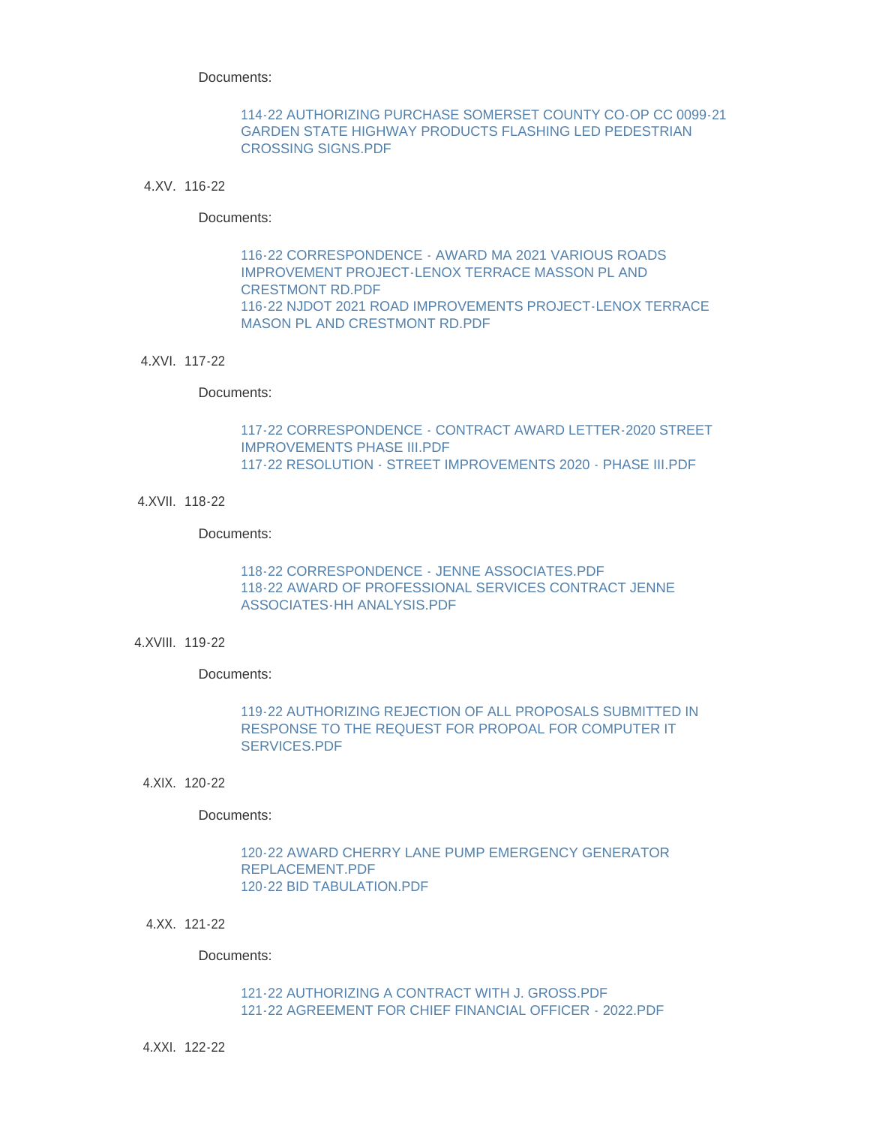Documents:

## [114-22 AUTHORIZING PURCHASE SOMERSET COUNTY CO-OP CC 0099-21](http://www.westorange.org/AgendaCenter/ViewFile/Item/4672?fileID=14537)  GARDEN STATE HIGHWAY PRODUCTS FLASHING LED PEDESTRIAN CROSSING SIGNS.PDF

### 116-22 4.XV.

### Documents:

# [116-22 CORRESPONDENCE - AWARD MA 2021 VARIOUS ROADS](http://www.westorange.org/AgendaCenter/ViewFile/Item/4673?fileID=14560)  IMPROVEMENT PROJECT-LENOX TERRACE MASSON PL AND CRESTMONT RD.PDF [116-22 NJDOT 2021 ROAD IMPROVEMENTS PROJECT-LENOX TERRACE](http://www.westorange.org/AgendaCenter/ViewFile/Item/4673?fileID=14538)  MASON PL AND CRESTMONT RD.PDF

#### 4.XVI. 117-22

#### Documents:

# [117-22 CORRESPONDENCE - CONTRACT AWARD LETTER-2020 STREET](http://www.westorange.org/AgendaCenter/ViewFile/Item/4674?fileID=14561)  IMPROVEMENTS PHASE III.PDF [117-22 RESOLUTION - STREET IMPROVEMENTS 2020 - PHASE III.PDF](http://www.westorange.org/AgendaCenter/ViewFile/Item/4674?fileID=14539)

4.XVII. 118-22

### Documents:

# [118-22 CORRESPONDENCE - JENNE ASSOCIATES.PDF](http://www.westorange.org/AgendaCenter/ViewFile/Item/4675?fileID=14562) [118-22 AWARD OF PROFESSIONAL SERVICES CONTRACT JENNE](http://www.westorange.org/AgendaCenter/ViewFile/Item/4675?fileID=14540)  ASSOCIATES-HH ANALYSIS.PDF

4.XVIII. 119-22

Documents:

# [119-22 AUTHORIZING REJECTION OF ALL PROPOSALS SUBMITTED IN](http://www.westorange.org/AgendaCenter/ViewFile/Item/4676?fileID=14541)  RESPONSE TO THE REQUEST FOR PROPOAL FOR COMPUTER IT SERVICES.PDF

120-22 4.XIX.

Documents:

## [120-22 AWARD CHERRY LANE PUMP EMERGENCY GENERATOR](http://www.westorange.org/AgendaCenter/ViewFile/Item/4677?fileID=14543)  REPLACEMENT.PDF [120-22 BID TABULATION.PDF](http://www.westorange.org/AgendaCenter/ViewFile/Item/4677?fileID=14542)

121-22 4.XX.

Documents:

### [121-22 AUTHORIZING A CONTRACT WITH J. GROSS.PDF](http://www.westorange.org/AgendaCenter/ViewFile/Item/4678?fileID=14544) [121-22 AGREEMENT FOR CHIEF FINANCIAL OFFICER - 2022.PDF](http://www.westorange.org/AgendaCenter/ViewFile/Item/4678?fileID=14576)

122-22 4.XXI.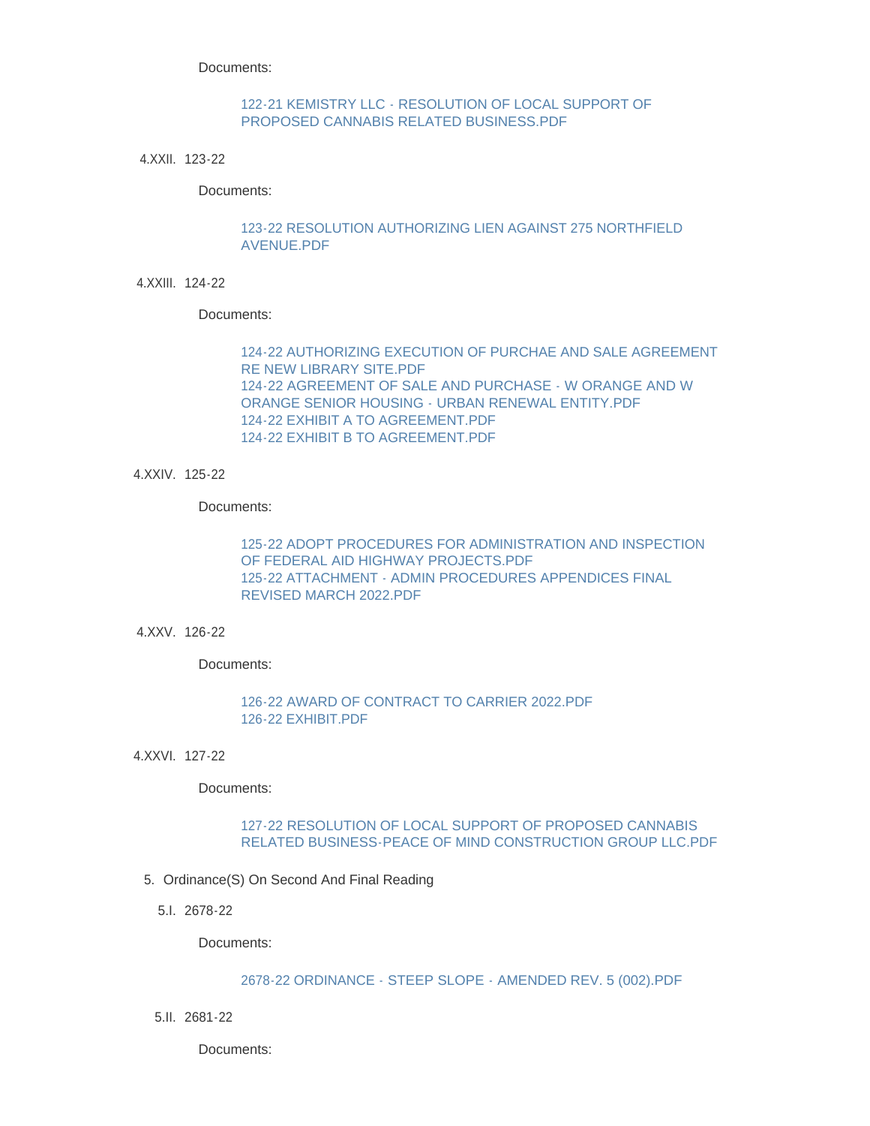Documents:

# [122-21 KEMISTRY LLC - RESOLUTION OF LOCAL SUPPORT OF](http://www.westorange.org/AgendaCenter/ViewFile/Item/4689?fileID=14567)  PROPOSED CANNABIS RELATED BUSINESS.PDF

123-22 4.XXII.

Documents:

## [123-22 RESOLUTION AUTHORIZING LIEN AGAINST 275 NORTHFIELD](http://www.westorange.org/AgendaCenter/ViewFile/Item/4680?fileID=14545)  AVENUE.PDF

124-22 4.XXIII.

Documents:

[124-22 AUTHORIZING EXECUTION OF PURCHAE AND SALE AGREEMENT](http://www.westorange.org/AgendaCenter/ViewFile/Item/4681?fileID=14548)  RE NEW LIBRARY SITE.PDF [124-22 AGREEMENT OF SALE AND PURCHASE - W ORANGE AND W](http://www.westorange.org/AgendaCenter/ViewFile/Item/4681?fileID=14549)  ORANGE SENIOR HOUSING - URBAN RENEWAL ENTITY.PDF [124-22 EXHIBIT A TO AGREEMENT.PDF](http://www.westorange.org/AgendaCenter/ViewFile/Item/4681?fileID=14547) [124-22 EXHIBIT B TO AGREEMENT.PDF](http://www.westorange.org/AgendaCenter/ViewFile/Item/4681?fileID=14546)

125-22 4.XXIV.

Documents:

[125-22 ADOPT PROCEDURES FOR ADMINISTRATION AND INSPECTION](http://www.westorange.org/AgendaCenter/ViewFile/Item/4682?fileID=14551)  OF FEDERAL AID HIGHWAY PROJECTS.PDF [125-22 ATTACHMENT - ADMIN PROCEDURES APPENDICES FINAL](http://www.westorange.org/AgendaCenter/ViewFile/Item/4682?fileID=14550)  REVISED MARCH 2022.PDF

126-22 4.XXV.

Documents:

## [126-22 AWARD OF CONTRACT TO CARRIER 2022.PDF](http://www.westorange.org/AgendaCenter/ViewFile/Item/4688?fileID=14564) [126-22 EXHIBIT.PDF](http://www.westorange.org/AgendaCenter/ViewFile/Item/4688?fileID=14563)

127-22 4.XXVI.

Documents:

## 127-22 RESOLUTION OF LOCAL SUPPORT OF PROPOSED CANNABIS [RELATED BUSINESS-PEACE OF MIND CONSTRUCTION GROUP LLC.PDF](http://www.westorange.org/AgendaCenter/ViewFile/Item/4690?fileID=14568)

- 5. Ordinance(S) On Second And Final Reading
	- 2678-22 5.I.

Documents:

### [2678-22 ORDINANCE - STEEP SLOPE - AMENDED REV. 5 \(002\).PDF](http://www.westorange.org/AgendaCenter/ViewFile/Item/4683?fileID=14574)

2681-22 5.II.

Documents: